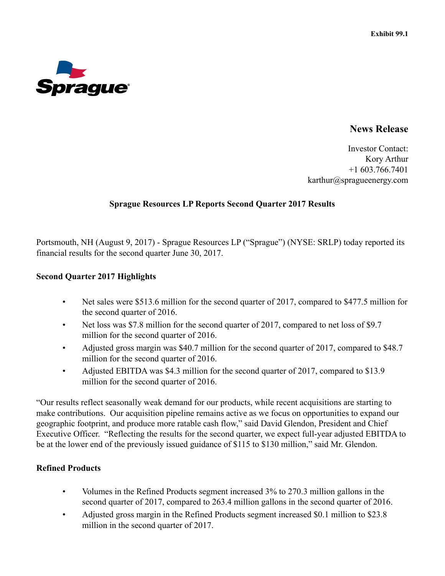

# **News Release**

Investor Contact: Kory Arthur +1 603.766.7401 karthur@spragueenergy.com

#### **Sprague Resources LP Reports Second Quarter 2017 Results**

Portsmouth, NH (August 9, 2017) - Sprague Resources LP ("Sprague") (NYSE: SRLP) today reported its financial results for the second quarter June 30, 2017.

#### **Second Quarter 2017 Highlights**

- Net sales were \$513.6 million for the second quarter of 2017, compared to \$477.5 million for the second quarter of 2016.
- Net loss was \$7.8 million for the second quarter of 2017, compared to net loss of \$9.7 million for the second quarter of 2016.
- Adjusted gross margin was \$40.7 million for the second quarter of 2017, compared to \$48.7 million for the second quarter of 2016.
- Adjusted EBITDA was \$4.3 million for the second quarter of 2017, compared to \$13.9 million for the second quarter of 2016.

"Our results reflect seasonally weak demand for our products, while recent acquisitions are starting to make contributions. Our acquisition pipeline remains active as we focus on opportunities to expand our geographic footprint, and produce more ratable cash flow," said David Glendon, President and Chief Executive Officer. "Reflecting the results for the second quarter, we expect full-year adjusted EBITDA to be at the lower end of the previously issued guidance of \$115 to \$130 million," said Mr. Glendon.

### **Refined Products**

- Volumes in the Refined Products segment increased 3% to 270.3 million gallons in the second quarter of 2017, compared to 263.4 million gallons in the second quarter of 2016.
- Adjusted gross margin in the Refined Products segment increased \$0.1 million to \$23.8 million in the second quarter of 2017.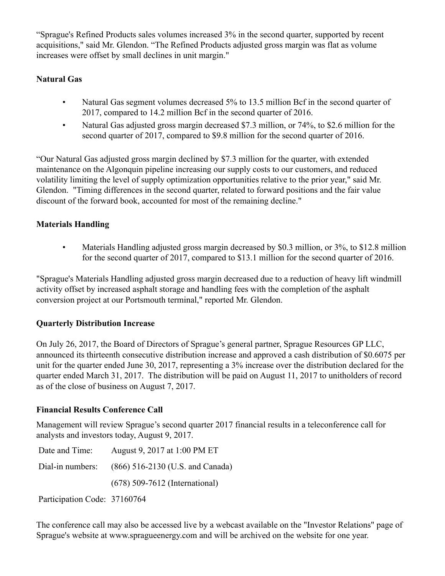"Sprague's Refined Products sales volumes increased 3% in the second quarter, supported by recent acquisitions," said Mr. Glendon. "The Refined Products adjusted gross margin was flat as volume increases were offset by small declines in unit margin."

# **Natural Gas**

- Natural Gas segment volumes decreased 5% to 13.5 million Bcf in the second quarter of 2017, compared to 14.2 million Bcf in the second quarter of 2016.
- Natural Gas adjusted gross margin decreased \$7.3 million, or 74%, to \$2.6 million for the second quarter of 2017, compared to \$9.8 million for the second quarter of 2016.

"Our Natural Gas adjusted gross margin declined by \$7.3 million for the quarter, with extended maintenance on the Algonquin pipeline increasing our supply costs to our customers, and reduced volatility limiting the level of supply optimization opportunities relative to the prior year," said Mr. Glendon. "Timing differences in the second quarter, related to forward positions and the fair value discount of the forward book, accounted for most of the remaining decline."

# **Materials Handling**

• Materials Handling adjusted gross margin decreased by \$0.3 million, or 3%, to \$12.8 million for the second quarter of 2017, compared to \$13.1 million for the second quarter of 2016.

"Sprague's Materials Handling adjusted gross margin decreased due to a reduction of heavy lift windmill activity offset by increased asphalt storage and handling fees with the completion of the asphalt conversion project at our Portsmouth terminal," reported Mr. Glendon.

# **Quarterly Distribution Increase**

On July 26, 2017, the Board of Directors of Sprague's general partner, Sprague Resources GP LLC, announced its thirteenth consecutive distribution increase and approved a cash distribution of \$0.6075 per unit for the quarter ended June 30, 2017, representing a 3% increase over the distribution declared for the quarter ended March 31, 2017. The distribution will be paid on August 11, 2017 to unitholders of record as of the close of business on August 7, 2017.

# **Financial Results Conference Call**

Management will review Sprague's second quarter 2017 financial results in a teleconference call for analysts and investors today, August 9, 2017.

| Date and Time:               | August 9, 2017 at 1:00 PM ET       |
|------------------------------|------------------------------------|
| Dial-in numbers:             | $(866)$ 516-2130 (U.S. and Canada) |
|                              | $(678)$ 509-7612 (International)   |
| Participation Code: 37160764 |                                    |

The conference call may also be accessed live by a webcast available on the "Investor Relations" page of Sprague's website at www.spragueenergy.com and will be archived on the website for one year.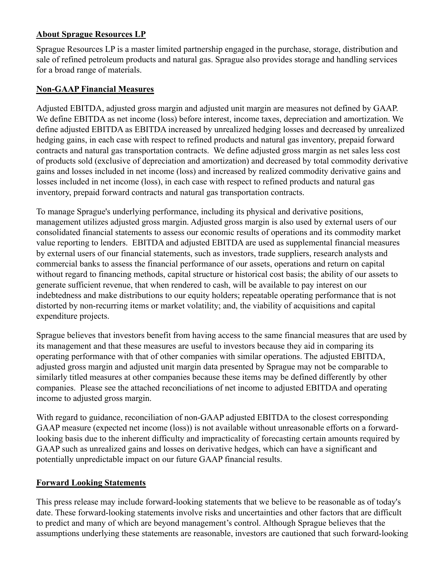## **About Sprague Resources LP**

Sprague Resources LP is a master limited partnership engaged in the purchase, storage, distribution and sale of refined petroleum products and natural gas. Sprague also provides storage and handling services for a broad range of materials.

### **Non-GAAP Financial Measures**

Adjusted EBITDA, adjusted gross margin and adjusted unit margin are measures not defined by GAAP. We define EBITDA as net income (loss) before interest, income taxes, depreciation and amortization. We define adjusted EBITDA as EBITDA increased by unrealized hedging losses and decreased by unrealized hedging gains, in each case with respect to refined products and natural gas inventory, prepaid forward contracts and natural gas transportation contracts. We define adjusted gross margin as net sales less cost of products sold (exclusive of depreciation and amortization) and decreased by total commodity derivative gains and losses included in net income (loss) and increased by realized commodity derivative gains and losses included in net income (loss), in each case with respect to refined products and natural gas inventory, prepaid forward contracts and natural gas transportation contracts.

To manage Sprague's underlying performance, including its physical and derivative positions, management utilizes adjusted gross margin. Adjusted gross margin is also used by external users of our consolidated financial statements to assess our economic results of operations and its commodity market value reporting to lenders. EBITDA and adjusted EBITDA are used as supplemental financial measures by external users of our financial statements, such as investors, trade suppliers, research analysts and commercial banks to assess the financial performance of our assets, operations and return on capital without regard to financing methods, capital structure or historical cost basis; the ability of our assets to generate sufficient revenue, that when rendered to cash, will be available to pay interest on our indebtedness and make distributions to our equity holders; repeatable operating performance that is not distorted by non-recurring items or market volatility; and, the viability of acquisitions and capital expenditure projects.

Sprague believes that investors benefit from having access to the same financial measures that are used by its management and that these measures are useful to investors because they aid in comparing its operating performance with that of other companies with similar operations. The adjusted EBITDA, adjusted gross margin and adjusted unit margin data presented by Sprague may not be comparable to similarly titled measures at other companies because these items may be defined differently by other companies. Please see the attached reconciliations of net income to adjusted EBITDA and operating income to adjusted gross margin.

With regard to guidance, reconciliation of non-GAAP adjusted EBITDA to the closest corresponding GAAP measure (expected net income (loss)) is not available without unreasonable efforts on a forwardlooking basis due to the inherent difficulty and impracticality of forecasting certain amounts required by GAAP such as unrealized gains and losses on derivative hedges, which can have a significant and potentially unpredictable impact on our future GAAP financial results.

### **Forward Looking Statements**

This press release may include forward-looking statements that we believe to be reasonable as of today's date. These forward-looking statements involve risks and uncertainties and other factors that are difficult to predict and many of which are beyond management's control. Although Sprague believes that the assumptions underlying these statements are reasonable, investors are cautioned that such forward-looking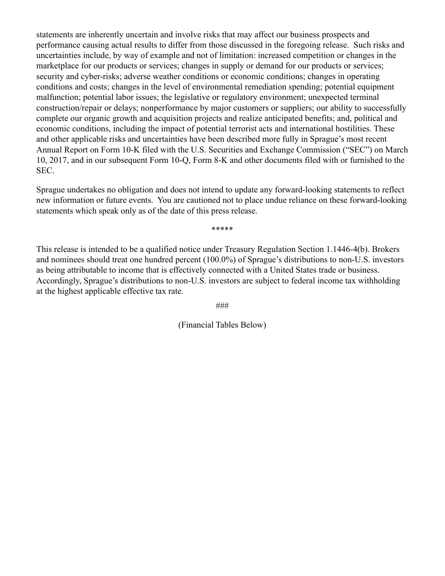statements are inherently uncertain and involve risks that may affect our business prospects and performance causing actual results to differ from those discussed in the foregoing release. Such risks and uncertainties include, by way of example and not of limitation: increased competition or changes in the marketplace for our products or services; changes in supply or demand for our products or services; security and cyber-risks; adverse weather conditions or economic conditions; changes in operating conditions and costs; changes in the level of environmental remediation spending; potential equipment malfunction; potential labor issues; the legislative or regulatory environment; unexpected terminal construction/repair or delays; nonperformance by major customers or suppliers; our ability to successfully complete our organic growth and acquisition projects and realize anticipated benefits; and, political and economic conditions, including the impact of potential terrorist acts and international hostilities. These and other applicable risks and uncertainties have been described more fully in Sprague's most recent Annual Report on Form 10-K filed with the U.S. Securities and Exchange Commission ("SEC") on March 10, 2017, and in our subsequent Form 10-Q, Form 8-K and other documents filed with or furnished to the SEC.

Sprague undertakes no obligation and does not intend to update any forward-looking statements to reflect new information or future events. You are cautioned not to place undue reliance on these forward-looking statements which speak only as of the date of this press release.

\*\*\*\*\*

This release is intended to be a qualified notice under Treasury Regulation Section 1.1446-4(b). Brokers and nominees should treat one hundred percent (100.0%) of Sprague's distributions to non-U.S. investors as being attributable to income that is effectively connected with a United States trade or business. Accordingly, Sprague's distributions to non-U.S. investors are subject to federal income tax withholding at the highest applicable effective tax rate.

###

(Financial Tables Below)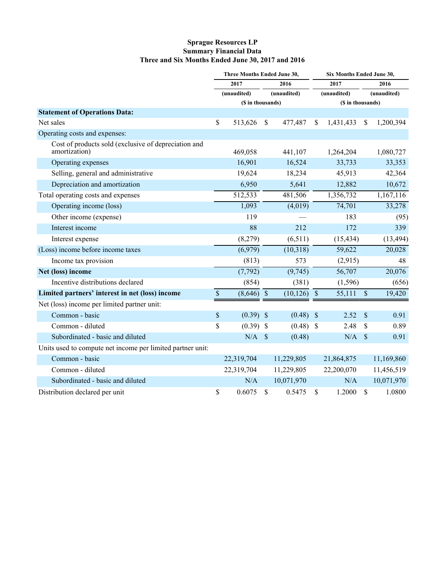#### **Sprague Resources LP Summary Financial Data Three and Six Months Ended June 30, 2017 and 2016**

|                                                                       | Three Months Ended June 30, |                   |                     | Six Months Ended June 30, |                     |            |                     |                   |  |
|-----------------------------------------------------------------------|-----------------------------|-------------------|---------------------|---------------------------|---------------------|------------|---------------------|-------------------|--|
|                                                                       | 2017<br>(unaudited)         |                   | 2016<br>(unaudited) |                           | 2017<br>(unaudited) |            | 2016<br>(unaudited) |                   |  |
|                                                                       |                             |                   |                     |                           |                     |            |                     |                   |  |
|                                                                       |                             | (\$ in thousands) |                     |                           |                     |            |                     | (\$ in thousands) |  |
| <b>Statement of Operations Data:</b>                                  |                             |                   |                     |                           |                     |            |                     |                   |  |
| Net sales                                                             | \$                          | 513,626           | $\mathbb{S}$        | 477,487                   | <sup>\$</sup>       | 1,431,433  | <sup>\$</sup>       | 1,200,394         |  |
| Operating costs and expenses:                                         |                             |                   |                     |                           |                     |            |                     |                   |  |
| Cost of products sold (exclusive of depreciation and<br>amortization) |                             | 469,058           |                     | 441,107                   |                     | 1,264,204  |                     | 1,080,727         |  |
| Operating expenses                                                    |                             | 16,901            |                     | 16,524                    |                     | 33,733     |                     | 33,353            |  |
| Selling, general and administrative                                   |                             | 19,624            |                     | 18,234                    |                     | 45,913     |                     | 42,364            |  |
| Depreciation and amortization                                         |                             | 6,950             |                     | 5,641                     |                     | 12,882     |                     | 10,672            |  |
| Total operating costs and expenses                                    |                             | 512,533           |                     | 481,506                   |                     | 1,356,732  |                     | 1,167,116         |  |
| Operating income (loss)                                               |                             | 1,093             |                     | (4,019)                   |                     | 74,701     |                     | 33,278            |  |
| Other income (expense)                                                |                             | 119               |                     |                           |                     | 183        |                     | (95)              |  |
| Interest income                                                       |                             | 88                |                     | 212                       |                     | 172        |                     | 339               |  |
| Interest expense                                                      |                             | (8,279)           |                     | (6,511)                   |                     | (15, 434)  |                     | (13, 494)         |  |
| (Loss) income before income taxes                                     |                             | (6,979)           |                     | (10,318)                  |                     | 59,622     |                     | 20,028            |  |
| Income tax provision                                                  |                             | (813)             |                     | 573                       |                     | (2,915)    |                     | 48                |  |
| Net (loss) income                                                     |                             | (7, 792)          |                     | (9,745)                   |                     | 56,707     |                     | 20,076            |  |
| Incentive distributions declared                                      |                             | (854)             |                     | (381)                     |                     | (1, 596)   |                     | (656)             |  |
| Limited partners' interest in net (loss) income                       | $\mathbb{S}$                | $(8,646)$ \$      |                     | $(10, 126)$ \$            |                     | 55,111     | $\mathcal{S}$       | 19,420            |  |
| Net (loss) income per limited partner unit:                           |                             |                   |                     |                           |                     |            |                     |                   |  |
| Common - basic                                                        | $\$$                        | $(0.39)$ \$       |                     | $(0.48)$ \$               |                     | 2.52       | \$                  | 0.91              |  |
| Common - diluted                                                      | \$                          | $(0.39)$ \$       |                     | $(0.48)$ \$               |                     | 2.48       | \$                  | 0.89              |  |
| Subordinated - basic and diluted                                      |                             | $N/A$ \$          |                     | (0.48)                    |                     | $N/A$ \$   |                     | 0.91              |  |
| Units used to compute net income per limited partner unit:            |                             |                   |                     |                           |                     |            |                     |                   |  |
| Common - basic                                                        |                             | 22,319,704        |                     | 11,229,805                |                     | 21,864,875 |                     | 11,169,860        |  |
| Common - diluted                                                      |                             | 22,319,704        |                     | 11,229,805                |                     | 22,200,070 |                     | 11,456,519        |  |
| Subordinated - basic and diluted                                      |                             | N/A               |                     | 10,071,970                |                     | N/A        |                     | 10,071,970        |  |
| Distribution declared per unit                                        | \$                          | 0.6075            | \$                  | 0.5475                    | \$                  | 1.2000     | \$                  | 1.0800            |  |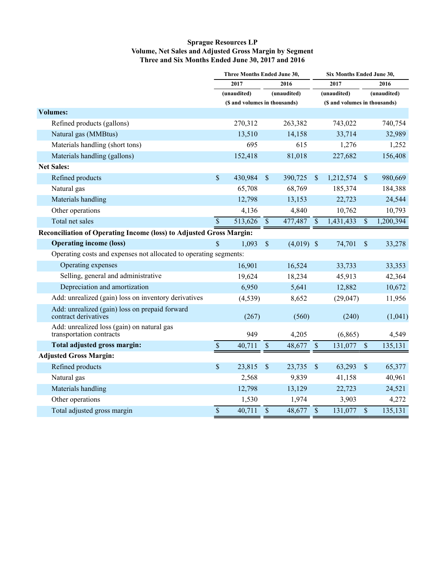#### **Sprague Resources LP Volume, Net Sales and Adjusted Gross Margin by Segment Three and Six Months Ended June 30, 2017 and 2016**

|                                                                        | Three Months Ended June 30, |                               |                          | Six Months Ended June 30, |                               |           |                           |           |  |
|------------------------------------------------------------------------|-----------------------------|-------------------------------|--------------------------|---------------------------|-------------------------------|-----------|---------------------------|-----------|--|
|                                                                        | 2017<br>2016                |                               |                          | 2017                      |                               | 2016      |                           |           |  |
|                                                                        |                             | (unaudited)                   |                          | (unaudited)               | (unaudited)                   |           | (unaudited)               |           |  |
|                                                                        |                             | (\$ and volumes in thousands) |                          |                           | (\$ and volumes in thousands) |           |                           |           |  |
| <b>Volumes:</b>                                                        |                             |                               |                          |                           |                               |           |                           |           |  |
| Refined products (gallons)                                             |                             | 270,312                       |                          | 263,382                   |                               | 743,022   |                           | 740,754   |  |
| Natural gas (MMBtus)                                                   |                             | 13,510                        |                          | 14,158                    |                               | 33,714    |                           | 32,989    |  |
| Materials handling (short tons)                                        |                             | 695                           |                          | 615                       |                               | 1,276     |                           | 1,252     |  |
| Materials handling (gallons)                                           |                             | 152,418                       |                          | 81,018                    |                               | 227,682   |                           | 156,408   |  |
| <b>Net Sales:</b>                                                      |                             |                               |                          |                           |                               |           |                           |           |  |
| Refined products                                                       | \$                          | 430,984                       | $\$$                     | 390,725                   | $\mathbb{S}$                  | 1,212,574 | $\boldsymbol{\mathsf{S}}$ | 980,669   |  |
| Natural gas                                                            |                             | 65,708                        |                          | 68,769                    |                               | 185,374   |                           | 184,388   |  |
| Materials handling                                                     |                             | 12,798                        |                          | 13,153                    |                               | 22,723    |                           | 24,544    |  |
| Other operations                                                       |                             | 4,136                         |                          | 4,840                     |                               | 10,762    |                           | 10,793    |  |
| Total net sales                                                        | $\overline{\mathcal{S}}$    | 513,626                       | $\overline{\mathcal{S}}$ | $\frac{477,487}{S}$       |                               | 1,431,433 | $\overline{\$}$           | 1,200,394 |  |
| Reconciliation of Operating Income (loss) to Adjusted Gross Margin:    |                             |                               |                          |                           |                               |           |                           |           |  |
| <b>Operating income (loss)</b>                                         | \$                          | 1,093                         | $\$$                     | $(4,019)$ \$              |                               | 74,701    | \$                        | 33,278    |  |
| Operating costs and expenses not allocated to operating segments:      |                             |                               |                          |                           |                               |           |                           |           |  |
| Operating expenses                                                     |                             | 16,901                        |                          | 16,524                    |                               | 33,733    |                           | 33,353    |  |
| Selling, general and administrative                                    |                             | 19,624                        |                          | 18,234                    |                               | 45,913    |                           | 42,364    |  |
| Depreciation and amortization                                          |                             | 6,950                         |                          | 5,641                     |                               | 12,882    |                           | 10,672    |  |
| Add: unrealized (gain) loss on inventory derivatives                   |                             | (4, 539)                      |                          | 8,652                     |                               | (29, 047) |                           | 11,956    |  |
| Add: unrealized (gain) loss on prepaid forward<br>contract derivatives |                             | (267)                         |                          | (560)                     |                               | (240)     |                           | (1,041)   |  |
| Add: unrealized loss (gain) on natural gas<br>transportation contracts |                             | 949                           |                          | 4,205                     |                               | (6, 865)  |                           | 4,549     |  |
| Total adjusted gross margin:                                           | $\mathbb{S}$                | 40,711                        | $\$$                     | 48,677                    | $\mathcal{S}$                 | 131,077   | $\$$                      | 135,131   |  |
| <b>Adjusted Gross Margin:</b>                                          |                             |                               |                          |                           |                               |           |                           |           |  |
| Refined products                                                       | \$                          | 23,815                        | \$                       | 23,735                    | \$                            | 63,293    | $\boldsymbol{\mathsf{S}}$ | 65,377    |  |
| Natural gas                                                            |                             | 2,568                         |                          | 9,839                     |                               | 41,158    |                           | 40,961    |  |
| Materials handling                                                     |                             | 12,798                        |                          | 13,129                    |                               | 22,723    |                           | 24,521    |  |
| Other operations                                                       |                             | 1,530                         |                          | 1,974                     |                               | 3,903     |                           | 4,272     |  |
| Total adjusted gross margin                                            | \$                          | 40,711                        | $\mathbb S$              | 48,677                    | $\overline{\$}$               | 131,077   | $\mathsf{\$}$             | 135,131   |  |